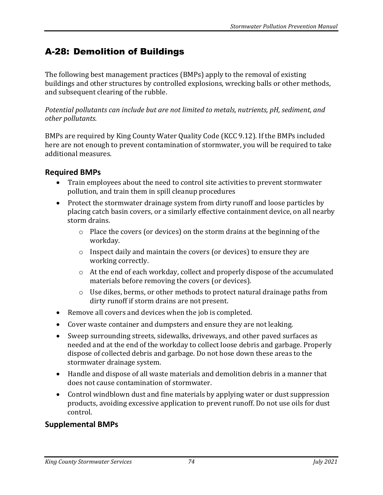## A-28: Demolition of Buildings

The following best management practices (BMPs) apply to the removal of existing buildings and other structures by controlled explosions, wrecking balls or other methods, and subsequent clearing of the rubble.

*Potential pollutants can include but are not limited to metals, nutrients, pH, sediment, and other pollutants.*

BMPs are required by King County Water Quality Code (KCC 9.12). If the BMPs included here are not enough to prevent contamination of stormwater, you will be required to take additional measures.

## **Required BMPs**

- Train employees about the need to control site activities to prevent stormwater pollution, and train them in spill cleanup procedures
- Protect the stormwater drainage system from dirty runoff and loose particles by placing catch basin covers, or a similarly effective containment device, on all nearby storm drains.
	- o Place the covers (or devices) on the storm drains at the beginning of the workday.
	- o Inspect daily and maintain the covers (or devices) to ensure they are working correctly.
	- o At the end of each workday, collect and properly dispose of the accumulated materials before removing the covers (or devices).
	- o Use dikes, berms, or other methods to protect natural drainage paths from dirty runoff if storm drains are not present.
- Remove all covers and devices when the job is completed.
- Cover waste container and dumpsters and ensure they are not leaking.
- Sweep surrounding streets, sidewalks, driveways, and other paved surfaces as needed and at the end of the workday to collect loose debris and garbage. Properly dispose of collected debris and garbage. Do not hose down these areas to the stormwater drainage system.
- Handle and dispose of all waste materials and demolition debris in a manner that does not cause contamination of stormwater.
- Control windblown dust and fine materials by applying water or dust suppression products, avoiding excessive application to prevent runoff. Do not use oils for dust control.

## **Supplemental BMPs**